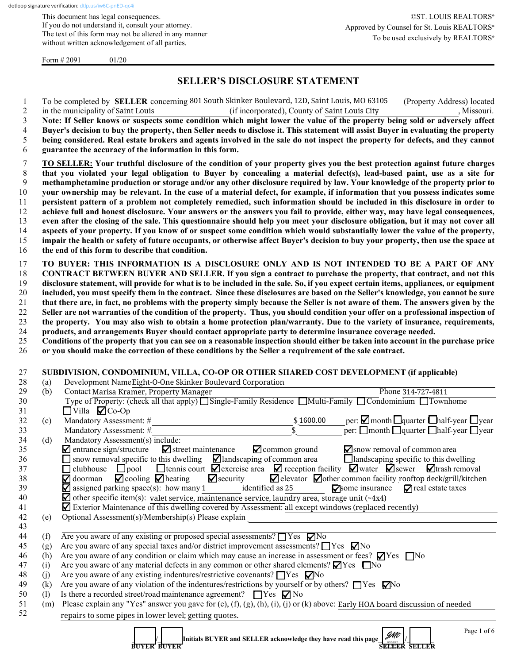This document has legal consequences. If you do not understand it, consult your attorney. The text of this form may not be altered in any manner without written acknowledgement of all parties.

Form  $\# 2091$  01/20

# **SELLER'S DISCLOSURE STATEMENT**

1 To be completed by **SELLER** concerning 801 South Skinker Boulevard, 12D, Saint Louis, MO 63105 (Property Address) located 2 in the municipality of Saint Louis (if incorporated), County of Saint Louis City (30), Missouri. **Note: If Seller knows or suspects some condition which might lower the value of the property being sold or adversely affect Buyer's decision to buy the property, then Seller needs to disclose it. This statement will assist Buyer in evaluating the property being considered. Real estate brokers and agents involved in the sale do not inspect the property for defects, and they cannot guarantee the accuracy of the information in this form. TO SELLER: Your truthful disclosure of the condition of your property gives you the best protection against future charges that you violated your legal obligation to Buyer by concealing a material defect(s), lead-based paint, use as a site for methamphetamine production or storage and/or any other disclosure required by law. Your knowledge of the property prior to your ownership may be relevant. In the case of a material defect, for example, if information that you possess indicates some persistent pattern of a problem not completely remedied, such information should be included in this disclosure in order to achieve full and honest disclosure. Your answers or the answers you fail to provide, either way, may have legal consequences, even after the closing of the sale. This questionnaire should help you meet your disclosure obligation, but it may not cover all aspects of your property. If you know of or suspect some condition which would substantially lower the value of the property, impair the health or safety of future occupants, or otherwise affect Buyer's decision to buy your property, then use the space at the end of this form to describe that condition.**

 **TO BUYER: THIS INFORMATION IS A DISCLOSURE ONLY AND IS NOT INTENDED TO BE A PART OF ANY CONTRACT BETWEEN BUYER AND SELLER. If you sign a contract to purchase the property, that contract, and not this disclosure statement, will provide for what is to be included in the sale. So, if you expect certain items, appliances, or equipment included, you must specify them in the contract. Since these disclosures are based on the Seller's knowledge, you cannot be sure that there are, in fact, no problems with the property simply because the Seller is not aware of them. The answers given by the Seller are not warranties of the condition of the property. Thus, you should condition your offer on a professional inspection of the property. You may also wish to obtain a home protection plan/warranty. Due to the variety of insurance, requirements, products, and arrangements Buyer should contact appropriate party to determine insurance coverage needed.**

25 **Conditions of the property that you can see on a reasonable inspection should either be taken into account in the purchase price**  26 **or you should make the correction of these conditions by the Seller a requirement of the sale contract.**

### 27 **SUBDIVISION, CONDOMINIUM, VILLA, CO-OP OR OTHER SHARED COST DEVELOPMENT (if applicable)**

| 28 | (a)                                                  | Development Name Eight-O-One Skinker Boulevard Corporation                                                                                               |  |  |  |  |  |  |
|----|------------------------------------------------------|----------------------------------------------------------------------------------------------------------------------------------------------------------|--|--|--|--|--|--|
| 29 | (b)                                                  | Contact Marisa Kramer, Property Manager<br>Phone 314-727-4811                                                                                            |  |  |  |  |  |  |
| 30 |                                                      | Type of Property: (check all that apply) Single-Family Residence Multi-Family Condominium Townhome                                                       |  |  |  |  |  |  |
| 31 |                                                      | $\Box$ Villa $\Box$ Co-Op                                                                                                                                |  |  |  |  |  |  |
| 32 | (c)                                                  | $per: \Box$ month $\Box$ quarter $\Box$ half-year $\Box$ year<br>\$1600.00<br>Mandatory Assessment: #                                                    |  |  |  |  |  |  |
| 33 |                                                      | per: $\Box$ month $\Box$ quarter $\Box$ half-year $\Box$ year<br>Mandatory Assessment: #.                                                                |  |  |  |  |  |  |
| 34 | (d)                                                  | Mandatory Assessment(s) include:                                                                                                                         |  |  |  |  |  |  |
| 35 |                                                      | $\blacksquare$ entrance sign/structure<br>$\blacktriangleright$ street maintenance<br>Show removal of common area<br>$\blacktriangleright$ common ground |  |  |  |  |  |  |
| 36 |                                                      | snow removal specific to this dwelling $\Box$ landscaping of common area<br>$\Box$ landscaping specific to this dwelling                                 |  |  |  |  |  |  |
| 37 |                                                      | <b>O</b> clubhouse $\Box$ pool $\Box$ tennis court $\Box$ exercise area $\Box$ reception facility $\Box$ water $\Box$ sewer $\Box$ trash removal         |  |  |  |  |  |  |
| 38 |                                                      | $\Box$ cooling $\Box$ heating $\Box$ security $\Box$ elevator $\Box$ other common facility rooftop deck/grill/kitchen<br>$\nabla$ doorman                |  |  |  |  |  |  |
| 39 |                                                      | $\blacksquare$ assigned parking space(s): how many 1 identified as 25<br>$\sqrt{\ }$ some insurance $\sqrt{\ }$ real estate taxes                        |  |  |  |  |  |  |
| 40 |                                                      | $\blacktriangleright$ other specific item(s): valet service, maintenance service, laundry area, storage unit (~4x4)                                      |  |  |  |  |  |  |
| 41 |                                                      | $\blacksquare$ Exterior Maintenance of this dwelling covered by Assessment: all except windows (replaced recently)                                       |  |  |  |  |  |  |
| 42 | (e)                                                  | Optional Assessment(s)/Membership(s) Please explain                                                                                                      |  |  |  |  |  |  |
| 43 |                                                      |                                                                                                                                                          |  |  |  |  |  |  |
| 44 | (f)                                                  | Are you aware of any existing or proposed special assessments? $\Box$ Yes $\nabla$ No                                                                    |  |  |  |  |  |  |
| 45 | (g)                                                  | Are you aware of any special taxes and/or district improvement assessments? $\Box$ Yes $\nabla$ No                                                       |  |  |  |  |  |  |
| 46 | (h)                                                  | Are you aware of any condition or claim which may cause an increase in assessment or fees? $\Box$ Yes $\Box$ No                                          |  |  |  |  |  |  |
| 47 | (i)                                                  | Are you aware of any material defects in any common or other shared elements? $\Box$ Yes $\Box$ No                                                       |  |  |  |  |  |  |
| 48 | (j)                                                  | Are you aware of any existing indentures/restrictive covenants? $\Box$ Yes $\nabla$ No                                                                   |  |  |  |  |  |  |
| 49 | (k)                                                  | Are you aware of any violation of the indentures/restrictions by yourself or by others? $\Box$ Yes $\nabla$ No                                           |  |  |  |  |  |  |
| 50 | (1)                                                  | Is there a recorded street/road maintenance agreement? $\Box$ Yes $\nabla$ No                                                                            |  |  |  |  |  |  |
| 51 | (m)                                                  | Please explain any "Yes" answer you gave for (e), (f), (g), (h), (i), (j) or (k) above: Early HOA board discussion of needed                             |  |  |  |  |  |  |
| 52 |                                                      | repairs to some pipes in lower level; getting quotes.                                                                                                    |  |  |  |  |  |  |
|    |                                                      |                                                                                                                                                          |  |  |  |  |  |  |
|    |                                                      | Page 1 of 6<br>gMt<br>Initials BUYER and SELLER acknowledge they have read this page                                                                     |  |  |  |  |  |  |
|    | <b>SELLER</b><br><b>BUYER BUYER</b><br><b>SELLER</b> |                                                                                                                                                          |  |  |  |  |  |  |

 **BUYER BUYER SELLER SELLER**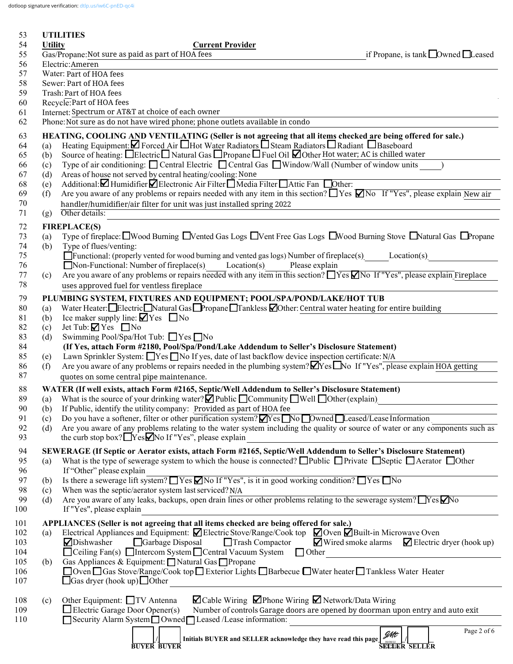dotloop signature verification: [dtlp.us/iw6C-pnED-qc4i](https://dtlp.us/iw6C-pnED-qc4i)

| 53         |                                                                                                     | <b>UTILITIES</b>                                                                                                                                                                                                                                                  |  |  |  |  |  |
|------------|-----------------------------------------------------------------------------------------------------|-------------------------------------------------------------------------------------------------------------------------------------------------------------------------------------------------------------------------------------------------------------------|--|--|--|--|--|
| 54         | <b>Utility</b>                                                                                      | <b>Current Provider</b>                                                                                                                                                                                                                                           |  |  |  |  |  |
| 55         | Gas/Propane: Not sure as paid as part of HOA fees<br>if Propane, is tank $\Box$ Owned $\Box$ Leased |                                                                                                                                                                                                                                                                   |  |  |  |  |  |
| 56         | Electric:Ameren                                                                                     |                                                                                                                                                                                                                                                                   |  |  |  |  |  |
| 57<br>58   | Water: Part of HOA fees<br>Sewer: Part of HOA fees                                                  |                                                                                                                                                                                                                                                                   |  |  |  |  |  |
| 59         | Trash: Part of HOA fees                                                                             |                                                                                                                                                                                                                                                                   |  |  |  |  |  |
| 60         | Recycle: Part of HOA fees                                                                           |                                                                                                                                                                                                                                                                   |  |  |  |  |  |
| 61         |                                                                                                     | Internet: Spectrum or AT&T at choice of each owner                                                                                                                                                                                                                |  |  |  |  |  |
| 62         |                                                                                                     | Phone: Not sure as do not have wired phone; phone outlets available in condo                                                                                                                                                                                      |  |  |  |  |  |
| 63         |                                                                                                     | HEATING, COOLING AND VENTILATING (Seller is not agreeing that all items checked are being offered for sale.)                                                                                                                                                      |  |  |  |  |  |
| 64         | (a)                                                                                                 | Heating Equipment: Ø Forced Air Hot Water Radiators BSteam Radiators BRadiant BBaseboard                                                                                                                                                                          |  |  |  |  |  |
| 65         | (b)                                                                                                 | Source of heating: □Electric□Natural Gas □Propane □Fuel Oil □Other Hot water; AC is chilled water                                                                                                                                                                 |  |  |  |  |  |
| 66         | (c)                                                                                                 | Type of air conditioning: Central Electric Central Gas Window/Wall (Number of window units                                                                                                                                                                        |  |  |  |  |  |
| 67         | (d)                                                                                                 | Areas of house not served by central heating/cooling: None                                                                                                                                                                                                        |  |  |  |  |  |
| 68         | (e)                                                                                                 | Additional: Humidifier Electronic Air Filter Nedia Filter Attic Fan Dother:                                                                                                                                                                                       |  |  |  |  |  |
| 69<br>70   | (f)                                                                                                 | Are you aware of any problems or repairs needed with any item in this section? $\Box$ Yes $\Box$ No If "Yes", please explain New air                                                                                                                              |  |  |  |  |  |
| 71         | (g)                                                                                                 | handler/humidifier/air filter for unit was just installed spring 2022<br>Other details:                                                                                                                                                                           |  |  |  |  |  |
|            |                                                                                                     |                                                                                                                                                                                                                                                                   |  |  |  |  |  |
| 72<br>73   | (a)                                                                                                 | <b>FIREPLACE(S)</b><br>Type of fireplace: UWood Burning UVented Gas Logs UVent Free Gas Logs UWood Burning Stove UNatural Gas UPropane                                                                                                                            |  |  |  |  |  |
| 74         | (b)                                                                                                 | Type of flues/venting:                                                                                                                                                                                                                                            |  |  |  |  |  |
| 75         |                                                                                                     | $\Box$ Functional: (properly vented for wood burning and vented gas logs) Number of fireplace(s) Location(s)                                                                                                                                                      |  |  |  |  |  |
| 76         |                                                                                                     | $\Box$ Non-Functional: Number of fireplace(s) Location(s)<br>Please explain                                                                                                                                                                                       |  |  |  |  |  |
| 77         | (c)                                                                                                 | Are you aware of any problems or repairs needed with any item in this section? Ness No If "Yes", please explain Fireplace                                                                                                                                         |  |  |  |  |  |
| 78         |                                                                                                     | uses approved fuel for ventless fireplace                                                                                                                                                                                                                         |  |  |  |  |  |
| 79         |                                                                                                     | PLUMBING SYSTEM, FIXTURES AND EQUIPMENT; POOL/SPA/POND/LAKE/HOT TUB                                                                                                                                                                                               |  |  |  |  |  |
| 80         | (a)                                                                                                 | Water Heater: Electric Natural Gas Propane Tankless Other: Central water heating for entire building                                                                                                                                                              |  |  |  |  |  |
| 81         | (b)                                                                                                 | Ice maker supply line: $\blacksquare$ Yes $\blacksquare$ No                                                                                                                                                                                                       |  |  |  |  |  |
| 82         | (c)                                                                                                 | Jet Tub: $\blacksquare$ Yes $\blacksquare$ No                                                                                                                                                                                                                     |  |  |  |  |  |
| 83         | (d)                                                                                                 | Swimming Pool/Spa/Hot Tub: □ Yes □ No                                                                                                                                                                                                                             |  |  |  |  |  |
| 84         |                                                                                                     | (If Yes, attach Form #2180, Pool/Spa/Pond/Lake Addendum to Seller's Disclosure Statement)                                                                                                                                                                         |  |  |  |  |  |
| 85<br>86   | (e)<br>(f)                                                                                          | Lawn Sprinkler System: $\Box$ Yes $\Box$ No If yes, date of last backflow device inspection certificate: N/A<br>Are you aware of any problems or repairs needed in the plumbing system? $\blacksquare$ Yes $\blacksquare$ No If "Yes", please explain HOA getting |  |  |  |  |  |
| 87         |                                                                                                     | quotes on some central pipe maintenance.                                                                                                                                                                                                                          |  |  |  |  |  |
| 88         |                                                                                                     | WATER (If well exists, attach Form #2165, Septic/Well Addendum to Seller's Disclosure Statement)                                                                                                                                                                  |  |  |  |  |  |
| 89         |                                                                                                     | (a) What is the source of your drinking water? $\blacksquare$ Public $\blacksquare$ Community $\blacksquare$ Well $\blacksquare$ Other (explain)                                                                                                                  |  |  |  |  |  |
| 90         | (b)                                                                                                 | If Public, identify the utility company: Provided as part of HOA fee                                                                                                                                                                                              |  |  |  |  |  |
| 91         | (c)                                                                                                 | Do you have a softener, filter or other purification system? $\sqrt{Y}$ es No Dwned Leased/Lease Information                                                                                                                                                      |  |  |  |  |  |
| 92         | (d)                                                                                                 | Are you aware of any problems relating to the water system including the quality or source of water or any components such as                                                                                                                                     |  |  |  |  |  |
| 93         |                                                                                                     | the curb stop box? $\Box$ Yes $\Box$ No If "Yes", please explain                                                                                                                                                                                                  |  |  |  |  |  |
| 94         |                                                                                                     | SEWERAGE (If Septic or Aerator exists, attach Form #2165, Septic/Well Addendum to Seller's Disclosure Statement)                                                                                                                                                  |  |  |  |  |  |
| 95         | (a)                                                                                                 | What is the type of sewerage system to which the house is connected? $\Box$ Public $\Box$ Private $\Box$ Septic $\Box$ Aerator $\Box$ Other                                                                                                                       |  |  |  |  |  |
| 96         |                                                                                                     | If "Other" please explain                                                                                                                                                                                                                                         |  |  |  |  |  |
| 97         | (b)                                                                                                 | Is there a sewerage lift system? $\Box$ Yes $\Box$ No If "Yes", is it in good working condition? $\Box$ Yes $\Box$ No                                                                                                                                             |  |  |  |  |  |
| 98         | (c)                                                                                                 | When was the septic/aerator system last serviced? N/A                                                                                                                                                                                                             |  |  |  |  |  |
| 99         | (d)                                                                                                 | Are you aware of any leaks, backups, open drain lines or other problems relating to the sewerage system? TYes Mo<br>If "Yes", please explain                                                                                                                      |  |  |  |  |  |
| 100        |                                                                                                     |                                                                                                                                                                                                                                                                   |  |  |  |  |  |
| 101        |                                                                                                     | APPLIANCES (Seller is not agreeing that all items checked are being offered for sale.)                                                                                                                                                                            |  |  |  |  |  |
| 102        | (a)                                                                                                 | Electrical Appliances and Equipment: $\Box$ Electric Stove/Range/Cook top $\Box$ Oven $\Box$ Built-in Microwave Oven<br>$\Box$ Trash Compactor                                                                                                                    |  |  |  |  |  |
| 103<br>104 |                                                                                                     | Wired smoke alarms Electric dryer (hook up)<br>Garbage Disposal<br>Dishwasher<br>$\Box$ Ceiling Fan(s) $\Box$ Intercom System $\Box$ Central Vacuum System $\Box$ Other                                                                                           |  |  |  |  |  |
| 105        | (b)                                                                                                 | Gas Appliances & Equipment: □ Natural Gas □ Propane                                                                                                                                                                                                               |  |  |  |  |  |
| 106        |                                                                                                     | □ Oven □ Gas Stove/Range/Cook top □ Exterior Lights □ Barbecue □ Water heater □ Tankless Water Heater                                                                                                                                                             |  |  |  |  |  |
| 107        |                                                                                                     | $\Box$ Gas dryer (hook up) $\Box$ Other                                                                                                                                                                                                                           |  |  |  |  |  |
|            |                                                                                                     |                                                                                                                                                                                                                                                                   |  |  |  |  |  |
| 108        | (c)                                                                                                 | <b>Z</b> Cable Wiring ∠Phone Wiring ∠ Network/Data Wiring<br>Other Equipment: TV Antenna                                                                                                                                                                          |  |  |  |  |  |
| 109        |                                                                                                     | $\Box$ Electric Garage Door Opener(s)<br>Number of controls Garage doors are opened by doorman upon entry and auto exit                                                                                                                                           |  |  |  |  |  |
| 110        |                                                                                                     | Security Alarm System Owned Leased /Lease information:                                                                                                                                                                                                            |  |  |  |  |  |
|            |                                                                                                     | Page 2 of 6<br>JMt<br>Initials BUYER and SELLER acknowledge they have read this page                                                                                                                                                                              |  |  |  |  |  |
|            |                                                                                                     | <u>Lessez   Letter   Letter   Letter   Letter   </u><br><b>BUYER BUYER</b>                                                                                                                                                                                        |  |  |  |  |  |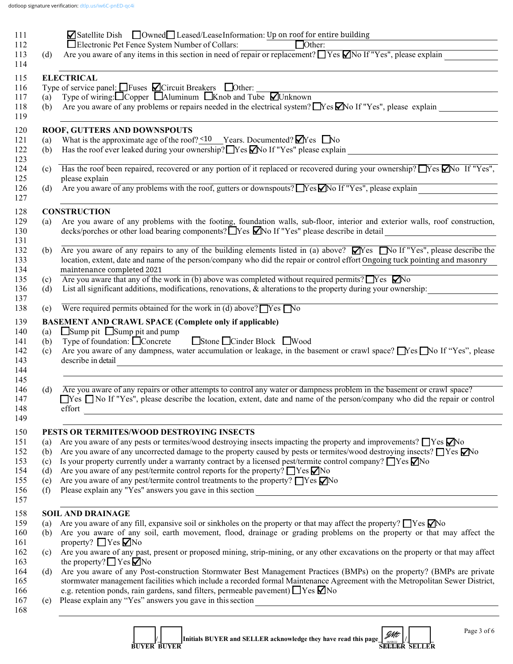|                                                                                                                                | <b><math>\blacksquare</math></b> Satellite Dish $\blacksquare$ Owned $\blacksquare$ Leased/Lease Information: Up on roof for entire building                                                                                                                                                                                                                                                                                 |  |  |  |  |  |
|--------------------------------------------------------------------------------------------------------------------------------|------------------------------------------------------------------------------------------------------------------------------------------------------------------------------------------------------------------------------------------------------------------------------------------------------------------------------------------------------------------------------------------------------------------------------|--|--|--|--|--|
|                                                                                                                                | ■ Electronic Pet Fence System Number of Collars: ■ Other: △ Other: Are you aware of any items in this section in need of repair or replacement? ■ Yes ■ No If "Yes", please explain                                                                                                                                                                                                                                          |  |  |  |  |  |
| (d)                                                                                                                            |                                                                                                                                                                                                                                                                                                                                                                                                                              |  |  |  |  |  |
|                                                                                                                                | <b>ELECTRICAL</b>                                                                                                                                                                                                                                                                                                                                                                                                            |  |  |  |  |  |
|                                                                                                                                | Type of service panel: $\Box$ Fuses $\Box$ Circuit Breakers $\Box$ Other:                                                                                                                                                                                                                                                                                                                                                    |  |  |  |  |  |
| (a)                                                                                                                            | Type of wiring: $\Box$ Copper $\Box$ Aluminum $\Box$ Knob and Tube $\Box$ Unknown                                                                                                                                                                                                                                                                                                                                            |  |  |  |  |  |
| Are you aware of any problems or repairs needed in the electrical system? $\Box$ Yes $\Box$ No If "Yes", please explain<br>(b) |                                                                                                                                                                                                                                                                                                                                                                                                                              |  |  |  |  |  |
|                                                                                                                                | ROOF, GUTTERS AND DOWNSPOUTS                                                                                                                                                                                                                                                                                                                                                                                                 |  |  |  |  |  |
| (a)                                                                                                                            | What is the approximate age of the roof? $\leq 10$ Years. Documented? $\blacksquare$ Yes $\blacksquare$ No                                                                                                                                                                                                                                                                                                                   |  |  |  |  |  |
| (b)                                                                                                                            | Has the roof ever leaked during your ownership? TYes Mo If "Yes" please explain                                                                                                                                                                                                                                                                                                                                              |  |  |  |  |  |
| (c)                                                                                                                            | Has the roof been repaired, recovered or any portion of it replaced or recovered during your ownership? $\Box$ Yes $\Box$ No If "Yes",                                                                                                                                                                                                                                                                                       |  |  |  |  |  |
|                                                                                                                                | please explain<br>please explain<br>Are you aware of any problems with the roof, gutters or downspouts? Nes No If "Yes", please explain                                                                                                                                                                                                                                                                                      |  |  |  |  |  |
| (d)                                                                                                                            |                                                                                                                                                                                                                                                                                                                                                                                                                              |  |  |  |  |  |
|                                                                                                                                | <b>CONSTRUCTION</b>                                                                                                                                                                                                                                                                                                                                                                                                          |  |  |  |  |  |
| (a)                                                                                                                            | Are you aware of any problems with the footing, foundation walls, sub-floor, interior and exterior walls, roof construction,                                                                                                                                                                                                                                                                                                 |  |  |  |  |  |
|                                                                                                                                | decks/porches or other load bearing components? Nes Mo If "Yes" please describe in detail<br><u> 1980 - Andrea Andrew Maria (b. 1980)</u>                                                                                                                                                                                                                                                                                    |  |  |  |  |  |
| (b)                                                                                                                            | Are you aware of any repairs to any of the building elements listed in (a) above? $\Box$ Yes $\Box$ No If "Yes", please describe the                                                                                                                                                                                                                                                                                         |  |  |  |  |  |
|                                                                                                                                | location, extent, date and name of the person/company who did the repair or control effort Ongoing tuck pointing and masonry                                                                                                                                                                                                                                                                                                 |  |  |  |  |  |
|                                                                                                                                | maintenance completed 2021                                                                                                                                                                                                                                                                                                                                                                                                   |  |  |  |  |  |
| (c)                                                                                                                            | Are you aware that any of the work in (b) above was completed without required permits? $\Box$ Yes $\Box$ No                                                                                                                                                                                                                                                                                                                 |  |  |  |  |  |
| (d)                                                                                                                            | List all significant additions, modifications, renovations, & alterations to the property during your ownership:                                                                                                                                                                                                                                                                                                             |  |  |  |  |  |
| (e)                                                                                                                            | Were required permits obtained for the work in (d) above? $\Box$ Yes $\Box$ No                                                                                                                                                                                                                                                                                                                                               |  |  |  |  |  |
|                                                                                                                                |                                                                                                                                                                                                                                                                                                                                                                                                                              |  |  |  |  |  |
|                                                                                                                                |                                                                                                                                                                                                                                                                                                                                                                                                                              |  |  |  |  |  |
| (a)                                                                                                                            | <b>BASEMENT AND CRAWL SPACE (Complete only if applicable)</b><br>$\Box$ Sump pit $\Box$ Sump pit and pump                                                                                                                                                                                                                                                                                                                    |  |  |  |  |  |
| (b)                                                                                                                            | Stone Cinder Block Wood<br>Type of foundation: $\Box$ Concrete                                                                                                                                                                                                                                                                                                                                                               |  |  |  |  |  |
| (c)                                                                                                                            |                                                                                                                                                                                                                                                                                                                                                                                                                              |  |  |  |  |  |
|                                                                                                                                | describe in detail                                                                                                                                                                                                                                                                                                                                                                                                           |  |  |  |  |  |
|                                                                                                                                | <u> 1980 - Andrea Barbara, amerikan personal (h. 1980).</u>                                                                                                                                                                                                                                                                                                                                                                  |  |  |  |  |  |
| (d)                                                                                                                            | Are you aware of any repairs or other attempts to control any water or dampness problem in the basement or crawl space?                                                                                                                                                                                                                                                                                                      |  |  |  |  |  |
|                                                                                                                                |                                                                                                                                                                                                                                                                                                                                                                                                                              |  |  |  |  |  |
|                                                                                                                                | effort<br>and the control of the control of the control of the control of the control of the control of the control of the                                                                                                                                                                                                                                                                                                   |  |  |  |  |  |
|                                                                                                                                |                                                                                                                                                                                                                                                                                                                                                                                                                              |  |  |  |  |  |
|                                                                                                                                | PESTS OR TERMITES/WOOD DESTROYING INSECTS                                                                                                                                                                                                                                                                                                                                                                                    |  |  |  |  |  |
| (a)                                                                                                                            | Are you aware of any pests or termites/wood destroying insects impacting the property and improvements? $\Box$ Yes $\Box$ No                                                                                                                                                                                                                                                                                                 |  |  |  |  |  |
| (b)                                                                                                                            | Are you aware of any uncorrected damage to the property caused by pests or termites/wood destroying insects? TYes Mo                                                                                                                                                                                                                                                                                                         |  |  |  |  |  |
| (c)<br>(d)                                                                                                                     | Is your property currently under a warranty contract by a licensed pest/termite control company? $\Box$ Yes $\Box$ No                                                                                                                                                                                                                                                                                                        |  |  |  |  |  |
| (e)                                                                                                                            | Are you aware of any pest/termite control reports for the property? $\Box$ Yes $\nabla$ No<br>Are you aware of any pest/termite control treatments to the property? □ Yes ○ No                                                                                                                                                                                                                                               |  |  |  |  |  |
|                                                                                                                                |                                                                                                                                                                                                                                                                                                                                                                                                                              |  |  |  |  |  |
| (f)                                                                                                                            |                                                                                                                                                                                                                                                                                                                                                                                                                              |  |  |  |  |  |
| (a)                                                                                                                            | <b>SOIL AND DRAINAGE</b>                                                                                                                                                                                                                                                                                                                                                                                                     |  |  |  |  |  |
| (b)                                                                                                                            | Are you aware of any fill, expansive soil or sinkholes on the property or that may affect the property? $\Box$ Yes $\Box$ No                                                                                                                                                                                                                                                                                                 |  |  |  |  |  |
|                                                                                                                                | Are you aware of any dampness, water accumulation or leakage, in the basement or crawl space? Nes No If "Yes", please<br>$\Box$ Yes $\Box$ No If "Yes", please describe the location, extent, date and name of the person/company who did the repair or control<br>Are you aware of any soil, earth movement, flood, drainage or grading problems on the property or that may affect the<br>property? $\Box$ Yes $\nabla$ No |  |  |  |  |  |
| (c)                                                                                                                            |                                                                                                                                                                                                                                                                                                                                                                                                                              |  |  |  |  |  |
|                                                                                                                                | Are you aware of any past, present or proposed mining, strip-mining, or any other excavations on the property or that may affect<br>the property? $\Box$ Yes $\Box$ No                                                                                                                                                                                                                                                       |  |  |  |  |  |
| (d)                                                                                                                            |                                                                                                                                                                                                                                                                                                                                                                                                                              |  |  |  |  |  |
|                                                                                                                                |                                                                                                                                                                                                                                                                                                                                                                                                                              |  |  |  |  |  |
| (e)                                                                                                                            | Are you aware of any Post-construction Stormwater Best Management Practices (BMPs) on the property? (BMPs are private<br>stormwater management facilities which include a recorded formal Maintenance Agreement with the Metropolitan Sewer District,<br>e.g. retention ponds, rain gardens, sand filters, permeable pavement) $\Box$ Yes $\nabla$ No<br>Please explain any "Yes" answers you gave in this section           |  |  |  |  |  |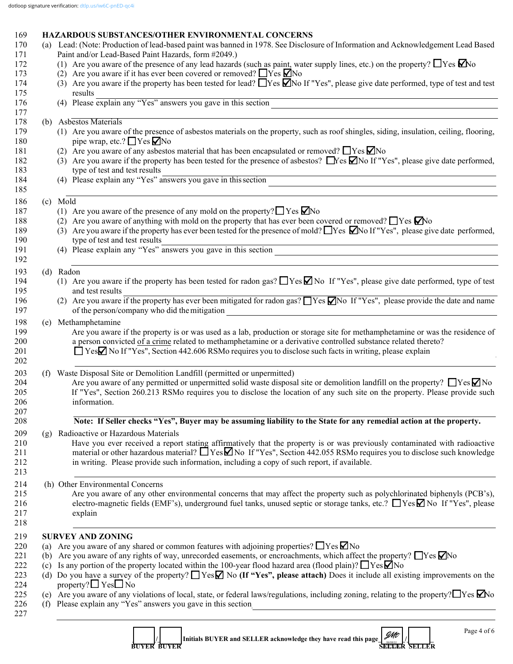# 169 **HAZARDOUS SUBSTANCES/OTHER ENVIRONMENTAL CONCERNS**

|     | (a) Lead: (Note: Production of lead-based paint was banned in 1978. See Disclosure of Information and Acknowledgement Lead Based                                                                                                                                                                                                                                  |  |  |  |  |  |
|-----|-------------------------------------------------------------------------------------------------------------------------------------------------------------------------------------------------------------------------------------------------------------------------------------------------------------------------------------------------------------------|--|--|--|--|--|
|     | Paint and/or Lead-Based Paint Hazards, form #2049.)                                                                                                                                                                                                                                                                                                               |  |  |  |  |  |
|     | (1) Are you aware of the presence of any lead hazards (such as paint, water supply lines, etc.) on the property? $\Box$ Yes $\Box$ No                                                                                                                                                                                                                             |  |  |  |  |  |
|     | (2) Are you aware if it has ever been covered or removed? $\Box$ Yes $\Box$ No                                                                                                                                                                                                                                                                                    |  |  |  |  |  |
|     | (3) Are you aware if the property has been tested for lead? Nessan IY and TV es", please give date performed, type of test and test                                                                                                                                                                                                                               |  |  |  |  |  |
|     | results<br>(4) Please explain any "Yes" answers you gave in this section                                                                                                                                                                                                                                                                                          |  |  |  |  |  |
| (b) | Asbestos Materials                                                                                                                                                                                                                                                                                                                                                |  |  |  |  |  |
|     | (1) Are you aware of the presence of asbestos materials on the property, such as roof shingles, siding, insulation, ceiling, flooring,<br>pipe wrap, etc.? ■ Yes ■ No                                                                                                                                                                                             |  |  |  |  |  |
|     | (2) Are you aware of any asbestos material that has been encapsulated or removed? $\Box$ Yes $\nabla$ No                                                                                                                                                                                                                                                          |  |  |  |  |  |
|     | (3) Are you aware if the property has been tested for the presence of asbestos? Nes Mo If "Yes", please give date performed,<br>type of test and test results<br>(4) Please explain any "Yes" answers you gave in this section                                                                                                                                    |  |  |  |  |  |
|     |                                                                                                                                                                                                                                                                                                                                                                   |  |  |  |  |  |
|     | (c) Mold                                                                                                                                                                                                                                                                                                                                                          |  |  |  |  |  |
|     | (1) Are you aware of the presence of any mold on the property? $\Box$ Yes $\Box$ No                                                                                                                                                                                                                                                                               |  |  |  |  |  |
|     | (2) Are you aware of anything with mold on the property that has ever been covered or removed? $\Box$ Yes $\Box$ No                                                                                                                                                                                                                                               |  |  |  |  |  |
|     | (3) Are you aware if the property has ever been tested for the presence of mold? $\Box$ Yes $\Box$ No If "Yes", please give date performed,<br>type of test and test results                                                                                                                                                                                      |  |  |  |  |  |
|     | type of test and test results<br>(4) Please explain any "Yes" answers you gave in this section                                                                                                                                                                                                                                                                    |  |  |  |  |  |
|     |                                                                                                                                                                                                                                                                                                                                                                   |  |  |  |  |  |
|     | (d) Radon<br>(1) Are you aware if the property has been tested for radon gas? $\Box$ Yes $\Box$ No If "Yes", please give date performed, type of test                                                                                                                                                                                                             |  |  |  |  |  |
|     | and test results                                                                                                                                                                                                                                                                                                                                                  |  |  |  |  |  |
|     | (2) Are you aware if the property has ever been mitigated for radon gas? $\Box$ Yes $\Box$ No If "Yes", please provide the date and name<br>of the person/company who did the mitigation<br><u> 1989 - Johann Stein, mars and de Branch and de Branch and de Branch and de Branch and de Branch and de Branch</u>                                                 |  |  |  |  |  |
|     | (e) Methamphetamine                                                                                                                                                                                                                                                                                                                                               |  |  |  |  |  |
|     | Are you aware if the property is or was used as a lab, production or storage site for methamphetamine or was the residence of<br>a person convicted of a crime related to methamphetamine or a derivative controlled substance related thereto?<br>□ Yes <b></b> No If "Yes", Section 442.606 RSMo requires you to disclose such facts in writing, please explain |  |  |  |  |  |
|     | (f) Waste Disposal Site or Demolition Landfill (permitted or unpermitted)<br>Are you aware of any permitted or unpermitted solid waste disposal site or demolition landfill on the property? $\Box$ Yes $\Box$ No<br>If "Yes", Section 260.213 RSMo requires you to disclose the location of any such site on the property. Please provide such<br>information.   |  |  |  |  |  |
|     | Note: If Seller checks "Yes", Buyer may be assuming liability to the State for any remedial action at the property.                                                                                                                                                                                                                                               |  |  |  |  |  |
| (g) | Radioactive or Hazardous Materials                                                                                                                                                                                                                                                                                                                                |  |  |  |  |  |
|     | Have you ever received a report stating affirmatively that the property is or was previously contaminated with radioactive<br>material or other hazardous material? $\Box$ Yes $\Box$ No If "Yes", Section 442.055 RSMo requires you to disclose such knowledge<br>in writing. Please provide such information, including a copy of such report, if available.    |  |  |  |  |  |
|     | (h) Other Environmental Concerns                                                                                                                                                                                                                                                                                                                                  |  |  |  |  |  |
|     | Are you aware of any other environmental concerns that may affect the property such as polychlorinated biphenyls (PCB's),<br>electro-magnetic fields (EMF's), underground fuel tanks, unused septic or storage tanks, etc.? $\Box$ Yes $\Box$ No If "Yes", please<br>explain                                                                                      |  |  |  |  |  |
|     | <b>SURVEY AND ZONING</b>                                                                                                                                                                                                                                                                                                                                          |  |  |  |  |  |
| (a) | Are you aware of any shared or common features with adjoining properties? $\Box$ Yes $\Box$ No                                                                                                                                                                                                                                                                    |  |  |  |  |  |
| (b) | Are you aware of any rights of way, unrecorded easements, or encroachments, which affect the property? $\Box$ Yes $\Box$ No                                                                                                                                                                                                                                       |  |  |  |  |  |
| (c) | Is any portion of the property located within the 100-year flood hazard area (flood plain)? $\Box$ Yes $\Box$ No                                                                                                                                                                                                                                                  |  |  |  |  |  |
|     | (d) Do you have a survey of the property? $\Box$ Yes $\Box$ No (If "Yes", please attach) Does it include all existing improvements on the<br>property? $\Box$ Yes $\Box$ No                                                                                                                                                                                       |  |  |  |  |  |
| (f) | (e) Are you aware of any violations of local, state, or federal laws/regulations, including zoning, relating to the property? $\Box$ Yes $\Box$ No<br>Please explain any "Yes" answers you gave in this section<br><u> 1980 - Jan Stein Stein Stein Stein Stein Stein Stein Stein Stein Stein Stein Stein Stein Stein Stein Stein S</u>                           |  |  |  |  |  |
|     | Page 4 of 6<br><b>JMt</b><br>Initials BUYER and SELLER acknowledge they have read this page<br><b>BUYER BUYER</b><br><b>SELLER SELLER</b>                                                                                                                                                                                                                         |  |  |  |  |  |

 **BUYER BUYER SELLER SELLER**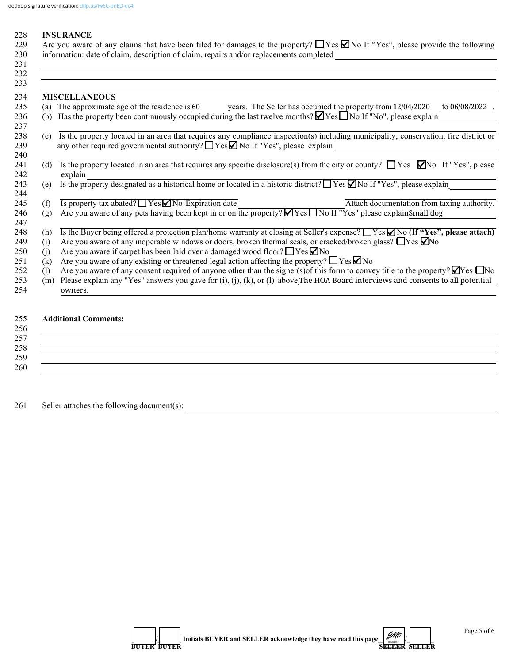| 228 INSURANCE                                                                                                                                 |
|-----------------------------------------------------------------------------------------------------------------------------------------------|
| 229 Are you aware of any claims that have been filed for damages to the property? $\Box$ Yes $\Box$ No If "Yes", please provide the following |
| 230 information: date of claim, description of claim, repairs and/or replacements completed                                                   |

|     | <b>MISCELLANEOUS</b>                                                                                                                                                                                                             |  |  |  |
|-----|----------------------------------------------------------------------------------------------------------------------------------------------------------------------------------------------------------------------------------|--|--|--|
|     | (a) The approximate age of the residence is 60 years. The Seller has occupied the property from 12/04/2020<br>to 06/08/2022                                                                                                      |  |  |  |
| (b) | Has the property been continuously occupied during the last twelve months? $\blacksquare$ Yes $\blacksquare$ No If "No", please explain                                                                                          |  |  |  |
| (c) | Is the property located in an area that requires any compliance inspection(s) including municipality, conservation, fire district or<br>any other required governmental authority? $\Box$ Yes $\Box$ No If "Yes", please explain |  |  |  |
| (d) | Is the property located in an area that requires any specific disclosure(s) from the city or county? $\Box$ Yes $\Box$ No If "Yes", please<br>explain                                                                            |  |  |  |
| (e) | Is the property designated as a historical home or located in a historic district? $\Box$ Yes $\Box$ No If "Yes", please explain                                                                                                 |  |  |  |
| (f) | Is property tax abated? <u>Yes No Expiration</u> date<br>Attach documentation from taxing authority.                                                                                                                             |  |  |  |
| (g) | Are you aware of any pets having been kept in or on the property? Yes No If "Yes" please explainSmall dog                                                                                                                        |  |  |  |
| (h) | Is the Buyer being offered a protection plan/home warranty at closing at Seller's expense? TYes MNo (If "Yes", please attach)                                                                                                    |  |  |  |
| (i) | Are you aware of any inoperable windows or doors, broken thermal seals, or cracked/broken glass? $\Box$ Yes $\Box$ No                                                                                                            |  |  |  |
| (i) | Are you aware if carpet has been laid over a damaged wood floor? □ Yes <b>Ø</b> No                                                                                                                                               |  |  |  |
| (k) | Are you aware of any existing or threatened legal action affecting the property? $\Box$ Yes $\Box$ No                                                                                                                            |  |  |  |
| (1) | Are you aware of any consent required of anyone other than the signer(s) of this form to convey title to the property? $\Box$ Yes $\Box$ No                                                                                      |  |  |  |
| (m) | Please explain any "Yes" answers you gave for $(i)$ , $(j)$ , $(k)$ , or $(l)$ above The HOA Board interviews and consents to all potential                                                                                      |  |  |  |
|     | owners.                                                                                                                                                                                                                          |  |  |  |

 $258$ 

260  $\Box$ 

261 Seller attaches the following document(s): \_\_\_\_\_\_\_\_\_\_\_\_\_\_\_\_\_\_\_\_\_\_\_\_\_\_\_\_\_\_\_\_\_\_

 $259$   $\overline{\phantom{a}}$